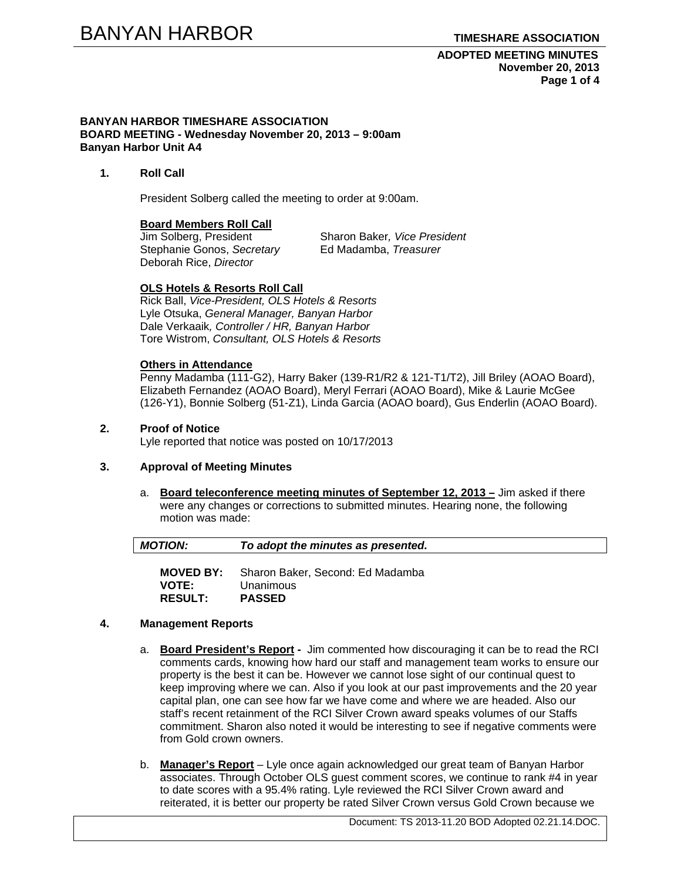**ADOPTED MEETING MINUTES November 20, 2013 Page 1 of 4** 

#### **BANYAN HARBOR TIMESHARE ASSOCIATION BOARD MEETING - Wednesday November 20, 2013 – 9:00am Banyan Harbor Unit A4**

**1. Roll Call** 

President Solberg called the meeting to order at 9:00am.

# **Board Members Roll Call**

Stephanie Gonos, *Secretary* Ed Madamba, *Treasurer* Deborah Rice, *Director* 

Jim Solberg, President Sharon Baker*, Vice President* 

# **OLS Hotels & Resorts Roll Call**

Rick Ball, *Vice-President, OLS Hotels & Resorts* Lyle Otsuka, *General Manager, Banyan Harbor*  Dale Verkaaik*, Controller / HR, Banyan Harbor*  Tore Wistrom, *Consultant, OLS Hotels & Resorts* 

#### **Others in Attendance**

Penny Madamba (111-G2), Harry Baker (139-R1/R2 & 121-T1/T2), Jill Briley (AOAO Board), Elizabeth Fernandez (AOAO Board), Meryl Ferrari (AOAO Board), Mike & Laurie McGee (126-Y1), Bonnie Solberg (51-Z1), Linda Garcia (AOAO board), Gus Enderlin (AOAO Board).

# **2. Proof of Notice**

Lyle reported that notice was posted on 10/17/2013

# **3. Approval of Meeting Minutes**

a. **Board teleconference meeting minutes of September 12, 2013 –** Jim asked if there were any changes or corrections to submitted minutes. Hearing none, the following motion was made:

| <b>MOTION:</b> | To adopt the minutes as presented. |
|----------------|------------------------------------|
|                |                                    |

**MOVED BY:** Sharon Baker, Second: Ed Madamba **VOTE:** Unanimous **RESULT: PASSED** 

### **4. Management Reports**

- a. **Board President's Report** Jim commented how discouraging it can be to read the RCI comments cards, knowing how hard our staff and management team works to ensure our property is the best it can be. However we cannot lose sight of our continual quest to keep improving where we can. Also if you look at our past improvements and the 20 year capital plan, one can see how far we have come and where we are headed. Also our staff's recent retainment of the RCI Silver Crown award speaks volumes of our Staffs commitment. Sharon also noted it would be interesting to see if negative comments were from Gold crown owners.
- b. **Manager's Report** Lyle once again acknowledged our great team of Banyan Harbor associates. Through October OLS guest comment scores, we continue to rank #4 in year to date scores with a 95.4% rating. Lyle reviewed the RCI Silver Crown award and reiterated, it is better our property be rated Silver Crown versus Gold Crown because we

Document: TS 2013-11.20 BOD Adopted 02.21.14.DOC.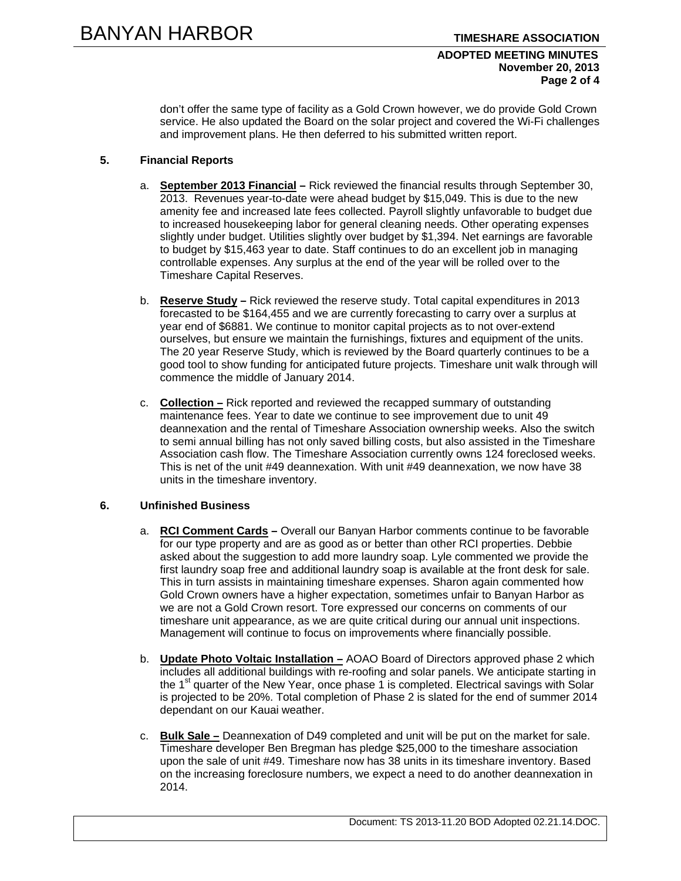### **ADOPTED MEETING MINUTES November 20, 2013 Page 2 of 4**

don't offer the same type of facility as a Gold Crown however, we do provide Gold Crown service. He also updated the Board on the solar project and covered the Wi-Fi challenges and improvement plans. He then deferred to his submitted written report.

# **5. Financial Reports**

- a. **September 2013 Financial –** Rick reviewed the financial results through September 30, 2013. Revenues year-to-date were ahead budget by \$15,049. This is due to the new amenity fee and increased late fees collected. Payroll slightly unfavorable to budget due to increased housekeeping labor for general cleaning needs. Other operating expenses slightly under budget. Utilities slightly over budget by \$1,394. Net earnings are favorable to budget by \$15,463 year to date. Staff continues to do an excellent job in managing controllable expenses. Any surplus at the end of the year will be rolled over to the Timeshare Capital Reserves.
- b. **Reserve Study –** Rick reviewed the reserve study. Total capital expenditures in 2013 forecasted to be \$164,455 and we are currently forecasting to carry over a surplus at year end of \$6881. We continue to monitor capital projects as to not over-extend ourselves, but ensure we maintain the furnishings, fixtures and equipment of the units. The 20 year Reserve Study, which is reviewed by the Board quarterly continues to be a good tool to show funding for anticipated future projects. Timeshare unit walk through will commence the middle of January 2014.
- c. **Collection –** Rick reported and reviewed the recapped summary of outstanding maintenance fees. Year to date we continue to see improvement due to unit 49 deannexation and the rental of Timeshare Association ownership weeks. Also the switch to semi annual billing has not only saved billing costs, but also assisted in the Timeshare Association cash flow. The Timeshare Association currently owns 124 foreclosed weeks. This is net of the unit #49 deannexation. With unit #49 deannexation, we now have 38 units in the timeshare inventory.

# **6. Unfinished Business**

- a. **RCI Comment Cards** Overall our Banyan Harbor comments continue to be favorable for our type property and are as good as or better than other RCI properties. Debbie asked about the suggestion to add more laundry soap. Lyle commented we provide the first laundry soap free and additional laundry soap is available at the front desk for sale. This in turn assists in maintaining timeshare expenses. Sharon again commented how Gold Crown owners have a higher expectation, sometimes unfair to Banyan Harbor as we are not a Gold Crown resort. Tore expressed our concerns on comments of our timeshare unit appearance, as we are quite critical during our annual unit inspections. Management will continue to focus on improvements where financially possible.
- b. **Update Photo Voltaic Installation –** AOAO Board of Directors approved phase 2 which includes all additional buildings with re-roofing and solar panels. We anticipate starting in the 1<sup>st</sup> quarter of the New Year, once phase 1 is completed. Electrical savings with Solar is projected to be 20%. Total completion of Phase 2 is slated for the end of summer 2014 dependant on our Kauai weather.
- c. **Bulk Sale –** Deannexation of D49 completed and unit will be put on the market for sale. Timeshare developer Ben Bregman has pledge \$25,000 to the timeshare association upon the sale of unit #49. Timeshare now has 38 units in its timeshare inventory. Based on the increasing foreclosure numbers, we expect a need to do another deannexation in 2014.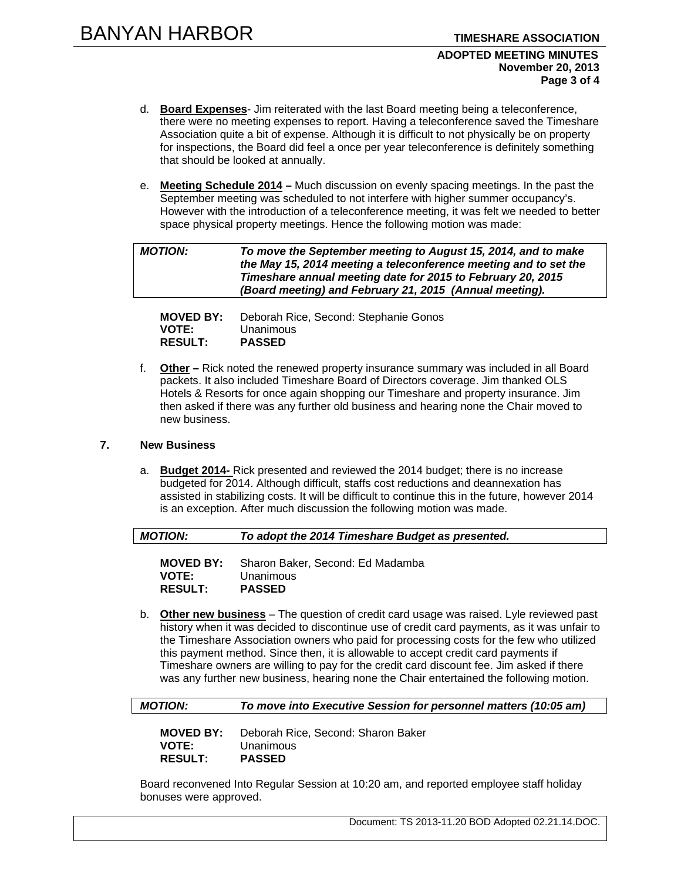#### **ADOPTED MEETING MINUTES November 20, 2013 Page 3 of 4**

- d. **Board Expenses** Jim reiterated with the last Board meeting being a teleconference, there were no meeting expenses to report. Having a teleconference saved the Timeshare Association quite a bit of expense. Although it is difficult to not physically be on property for inspections, the Board did feel a once per year teleconference is definitely something that should be looked at annually.
- e. **Meeting Schedule 2014** Much discussion on evenly spacing meetings. In the past the September meeting was scheduled to not interfere with higher summer occupancy's. However with the introduction of a teleconference meeting, it was felt we needed to better space physical property meetings. Hence the following motion was made:

| <b>MOTION:</b> | To move the September meeting to August 15, 2014, and to make    |
|----------------|------------------------------------------------------------------|
|                | the May 15, 2014 meeting a teleconference meeting and to set the |
|                | Timeshare annual meeting date for 2015 to February 20, 2015      |
|                | (Board meeting) and February 21, 2015 (Annual meeting).          |

| <b>MOVED BY:</b> | Deborah Rice, Second: Stephanie Gonos |
|------------------|---------------------------------------|
| <b>VOTE:</b>     | Unanimous                             |
| <b>RESULT:</b>   | <b>PASSED</b>                         |

f. **Other –** Rick noted the renewed property insurance summary was included in all Board packets. It also included Timeshare Board of Directors coverage. Jim thanked OLS Hotels & Resorts for once again shopping our Timeshare and property insurance. Jim then asked if there was any further old business and hearing none the Chair moved to new business.

# **7. New Business**

a. **Budget 2014-** Rick presented and reviewed the 2014 budget; there is no increase budgeted for 2014. Although difficult, staffs cost reductions and deannexation has assisted in stabilizing costs. It will be difficult to continue this in the future, however 2014 is an exception. After much discussion the following motion was made.

**MOVED BY:** Sharon Baker, Second: Ed Madamba **VOTE:** Unanimous **RESULT: PASSED** 

b. **Other new business** – The question of credit card usage was raised. Lyle reviewed past history when it was decided to discontinue use of credit card payments, as it was unfair to the Timeshare Association owners who paid for processing costs for the few who utilized this payment method. Since then, it is allowable to accept credit card payments if Timeshare owners are willing to pay for the credit card discount fee. Jim asked if there was any further new business, hearing none the Chair entertained the following motion.

*MOTION: To move into Executive Session for personnel matters (10:05 am)* 

**MOVED BY:** Deborah Rice, Second: Sharon Baker **VOTE:** Unanimous<br> **RESULT: PASSED**  $RESULT:$ 

Board reconvened Into Regular Session at 10:20 am, and reported employee staff holiday bonuses were approved.

Document: TS 2013-11.20 BOD Adopted 02.21.14.DOC.